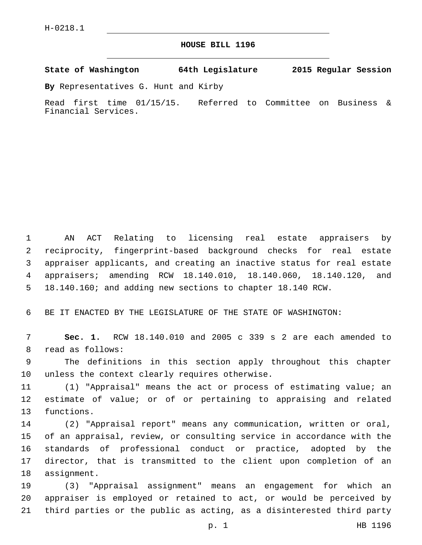## **HOUSE BILL 1196**

**State of Washington 64th Legislature 2015 Regular Session**

**By** Representatives G. Hunt and Kirby

Read first time 01/15/15. Referred to Committee on Business & Financial Services.

 AN ACT Relating to licensing real estate appraisers by reciprocity, fingerprint-based background checks for real estate appraiser applicants, and creating an inactive status for real estate appraisers; amending RCW 18.140.010, 18.140.060, 18.140.120, and 18.140.160; and adding new sections to chapter 18.140 RCW.

BE IT ENACTED BY THE LEGISLATURE OF THE STATE OF WASHINGTON:

 **Sec. 1.** RCW 18.140.010 and 2005 c 339 s 2 are each amended to 8 read as follows:

 The definitions in this section apply throughout this chapter 10 unless the context clearly requires otherwise.

 (1) "Appraisal" means the act or process of estimating value; an estimate of value; or of or pertaining to appraising and related 13 functions.

 (2) "Appraisal report" means any communication, written or oral, of an appraisal, review, or consulting service in accordance with the standards of professional conduct or practice, adopted by the director, that is transmitted to the client upon completion of an 18 assignment.

 (3) "Appraisal assignment" means an engagement for which an appraiser is employed or retained to act, or would be perceived by third parties or the public as acting, as a disinterested third party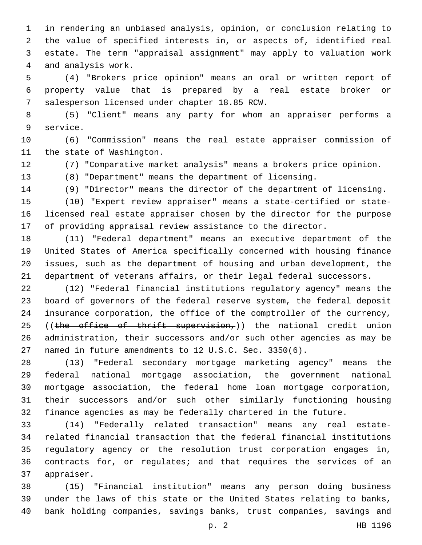in rendering an unbiased analysis, opinion, or conclusion relating to the value of specified interests in, or aspects of, identified real estate. The term "appraisal assignment" may apply to valuation work 4 and analysis work.

 (4) "Brokers price opinion" means an oral or written report of property value that is prepared by a real estate broker or 7 salesperson licensed under chapter 18.85 RCW.

 (5) "Client" means any party for whom an appraiser performs a 9 service.

 (6) "Commission" means the real estate appraiser commission of 11 the state of Washington.

(7) "Comparative market analysis" means a brokers price opinion.

(8) "Department" means the department of licensing.

(9) "Director" means the director of the department of licensing.

 (10) "Expert review appraiser" means a state-certified or state- licensed real estate appraiser chosen by the director for the purpose of providing appraisal review assistance to the director.

 (11) "Federal department" means an executive department of the United States of America specifically concerned with housing finance issues, such as the department of housing and urban development, the department of veterans affairs, or their legal federal successors.

 (12) "Federal financial institutions regulatory agency" means the board of governors of the federal reserve system, the federal deposit insurance corporation, the office of the comptroller of the currency, 25 ((the office of thrift supervision,)) the national credit union administration, their successors and/or such other agencies as may be named in future amendments to 12 U.S.C. Sec. 3350(6).

 (13) "Federal secondary mortgage marketing agency" means the federal national mortgage association, the government national mortgage association, the federal home loan mortgage corporation, their successors and/or such other similarly functioning housing finance agencies as may be federally chartered in the future.

 (14) "Federally related transaction" means any real estate- related financial transaction that the federal financial institutions regulatory agency or the resolution trust corporation engages in, contracts for, or regulates; and that requires the services of an 37 appraiser.

 (15) "Financial institution" means any person doing business under the laws of this state or the United States relating to banks, bank holding companies, savings banks, trust companies, savings and

p. 2 HB 1196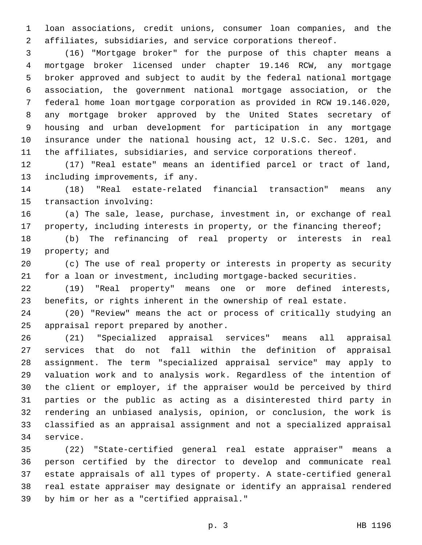loan associations, credit unions, consumer loan companies, and the affiliates, subsidiaries, and service corporations thereof.

 (16) "Mortgage broker" for the purpose of this chapter means a mortgage broker licensed under chapter 19.146 RCW, any mortgage broker approved and subject to audit by the federal national mortgage association, the government national mortgage association, or the federal home loan mortgage corporation as provided in RCW 19.146.020, any mortgage broker approved by the United States secretary of housing and urban development for participation in any mortgage insurance under the national housing act, 12 U.S.C. Sec. 1201, and the affiliates, subsidiaries, and service corporations thereof.

 (17) "Real estate" means an identified parcel or tract of land, 13 including improvements, if any.

 (18) "Real estate-related financial transaction" means any 15 transaction involving:

 (a) The sale, lease, purchase, investment in, or exchange of real 17 property, including interests in property, or the financing thereof;

 (b) The refinancing of real property or interests in real 19 property; and

 (c) The use of real property or interests in property as security for a loan or investment, including mortgage-backed securities.

 (19) "Real property" means one or more defined interests, benefits, or rights inherent in the ownership of real estate.

 (20) "Review" means the act or process of critically studying an 25 appraisal report prepared by another.

 (21) "Specialized appraisal services" means all appraisal services that do not fall within the definition of appraisal assignment. The term "specialized appraisal service" may apply to valuation work and to analysis work. Regardless of the intention of the client or employer, if the appraiser would be perceived by third parties or the public as acting as a disinterested third party in rendering an unbiased analysis, opinion, or conclusion, the work is classified as an appraisal assignment and not a specialized appraisal 34 service.

 (22) "State-certified general real estate appraiser" means a person certified by the director to develop and communicate real estate appraisals of all types of property. A state-certified general real estate appraiser may designate or identify an appraisal rendered 39 by him or her as a "certified appraisal."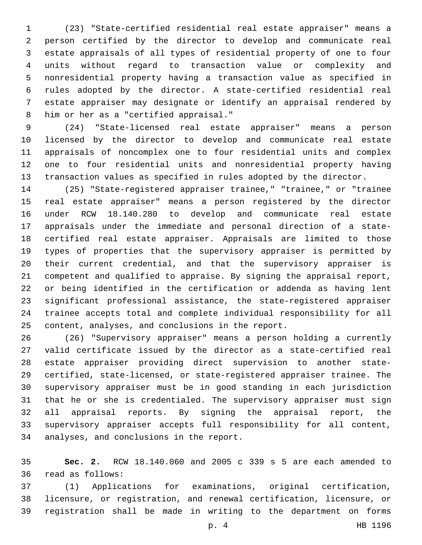(23) "State-certified residential real estate appraiser" means a person certified by the director to develop and communicate real estate appraisals of all types of residential property of one to four units without regard to transaction value or complexity and nonresidential property having a transaction value as specified in rules adopted by the director. A state-certified residential real estate appraiser may designate or identify an appraisal rendered by 8 him or her as a "certified appraisal."

 (24) "State-licensed real estate appraiser" means a person licensed by the director to develop and communicate real estate appraisals of noncomplex one to four residential units and complex one to four residential units and nonresidential property having transaction values as specified in rules adopted by the director.

 (25) "State-registered appraiser trainee," "trainee," or "trainee real estate appraiser" means a person registered by the director under RCW 18.140.280 to develop and communicate real estate appraisals under the immediate and personal direction of a state- certified real estate appraiser. Appraisals are limited to those types of properties that the supervisory appraiser is permitted by their current credential, and that the supervisory appraiser is competent and qualified to appraise. By signing the appraisal report, or being identified in the certification or addenda as having lent significant professional assistance, the state-registered appraiser trainee accepts total and complete individual responsibility for all 25 content, analyses, and conclusions in the report.

 (26) "Supervisory appraiser" means a person holding a currently valid certificate issued by the director as a state-certified real estate appraiser providing direct supervision to another state- certified, state-licensed, or state-registered appraiser trainee. The supervisory appraiser must be in good standing in each jurisdiction that he or she is credentialed. The supervisory appraiser must sign all appraisal reports. By signing the appraisal report, the supervisory appraiser accepts full responsibility for all content, 34 analyses, and conclusions in the report.

 **Sec. 2.** RCW 18.140.060 and 2005 c 339 s 5 are each amended to 36 read as follows:

 (1) Applications for examinations, original certification, licensure, or registration, and renewal certification, licensure, or registration shall be made in writing to the department on forms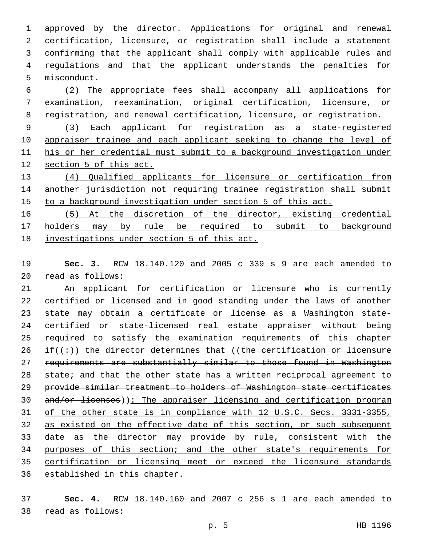approved by the director. Applications for original and renewal certification, licensure, or registration shall include a statement confirming that the applicant shall comply with applicable rules and regulations and that the applicant understands the penalties for 5 misconduct.

 (2) The appropriate fees shall accompany all applications for examination, reexamination, original certification, licensure, or registration, and renewal certification, licensure, or registration.

 (3) Each applicant for registration as a state-registered 10 appraiser trainee and each applicant seeking to change the level of his or her credential must submit to a background investigation under section 5 of this act.

 (4) Qualified applicants for licensure or certification from another jurisdiction not requiring trainee registration shall submit to a background investigation under section 5 of this act.

 (5) At the discretion of the director, existing credential holders may by rule be required to submit to background investigations under section 5 of this act.

 **Sec. 3.** RCW 18.140.120 and 2005 c 339 s 9 are each amended to read as follows:20

 An applicant for certification or licensure who is currently certified or licensed and in good standing under the laws of another state may obtain a certificate or license as a Washington state- certified or state-licensed real estate appraiser without being required to satisfy the examination requirements of this chapter 26 if( $(\div)$ ) the director determines that ((the certification or licensure requirements are substantially similar to those found in Washington 28 state; and that the other state has a written reciprocal agreement to provide similar treatment to holders of Washington state certificates 30 and/or licenses)): The appraiser licensing and certification program of the other state is in compliance with 12 U.S.C. Secs. 3331-3355, as existed on the effective date of this section, or such subsequent date as the director may provide by rule, consistent with the purposes of this section; and the other state's requirements for certification or licensing meet or exceed the licensure standards 36 established in this chapter.

 **Sec. 4.** RCW 18.140.160 and 2007 c 256 s 1 are each amended to read as follows:38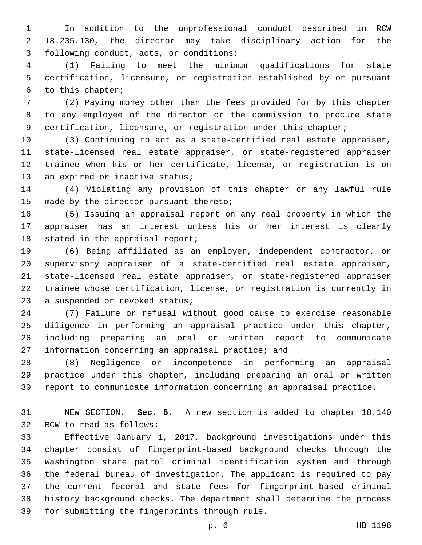In addition to the unprofessional conduct described in RCW 18.235.130, the director may take disciplinary action for the 3 following conduct, acts, or conditions:

 (1) Failing to meet the minimum qualifications for state certification, licensure, or registration established by or pursuant 6 to this chapter;

 (2) Paying money other than the fees provided for by this chapter to any employee of the director or the commission to procure state certification, licensure, or registration under this chapter;

 (3) Continuing to act as a state-certified real estate appraiser, state-licensed real estate appraiser, or state-registered appraiser trainee when his or her certificate, license, or registration is on 13 an expired or inactive status;

 (4) Violating any provision of this chapter or any lawful rule 15 made by the director pursuant thereto;

 (5) Issuing an appraisal report on any real property in which the appraiser has an interest unless his or her interest is clearly 18 stated in the appraisal report;

 (6) Being affiliated as an employer, independent contractor, or supervisory appraiser of a state-certified real estate appraiser, state-licensed real estate appraiser, or state-registered appraiser trainee whose certification, license, or registration is currently in 23 a suspended or revoked status;

 (7) Failure or refusal without good cause to exercise reasonable diligence in performing an appraisal practice under this chapter, including preparing an oral or written report to communicate 27 information concerning an appraisal practice; and

 (8) Negligence or incompetence in performing an appraisal practice under this chapter, including preparing an oral or written report to communicate information concerning an appraisal practice.

 NEW SECTION. **Sec. 5.** A new section is added to chapter 18.140 32 RCW to read as follows:

 Effective January 1, 2017, background investigations under this chapter consist of fingerprint-based background checks through the Washington state patrol criminal identification system and through the federal bureau of investigation. The applicant is required to pay the current federal and state fees for fingerprint-based criminal history background checks. The department shall determine the process 39 for submitting the fingerprints through rule.